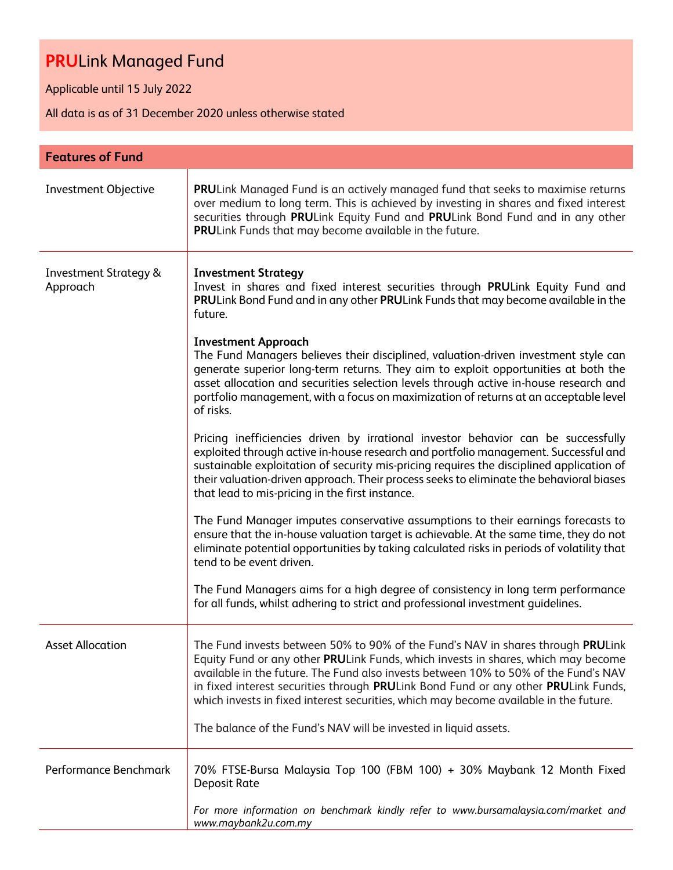Applicable until 15 July 2022

All data is as of 31 December 2020 unless otherwise stated

| <b>Features of Fund</b>                      |                                                                                                                                                                                                                                                                                                                                                                                                                                                                                                                                                                                                                                                                                                                                                                                                                                                                                                                                                                                                                                                                                                                                                                                                                                                                                                                                                                                                                                         |
|----------------------------------------------|-----------------------------------------------------------------------------------------------------------------------------------------------------------------------------------------------------------------------------------------------------------------------------------------------------------------------------------------------------------------------------------------------------------------------------------------------------------------------------------------------------------------------------------------------------------------------------------------------------------------------------------------------------------------------------------------------------------------------------------------------------------------------------------------------------------------------------------------------------------------------------------------------------------------------------------------------------------------------------------------------------------------------------------------------------------------------------------------------------------------------------------------------------------------------------------------------------------------------------------------------------------------------------------------------------------------------------------------------------------------------------------------------------------------------------------------|
| Investment Objective                         | PRULink Managed Fund is an actively managed fund that seeks to maximise returns<br>over medium to long term. This is achieved by investing in shares and fixed interest<br>securities through PRULink Equity Fund and PRULink Bond Fund and in any other<br>PRULink Funds that may become available in the future.                                                                                                                                                                                                                                                                                                                                                                                                                                                                                                                                                                                                                                                                                                                                                                                                                                                                                                                                                                                                                                                                                                                      |
| <b>Investment Strategy &amp;</b><br>Approach | <b>Investment Strategy</b><br>Invest in shares and fixed interest securities through PRULink Equity Fund and<br>PRULink Bond Fund and in any other PRULink Funds that may become available in the<br>future.<br><b>Investment Approach</b><br>The Fund Managers believes their disciplined, valuation-driven investment style can<br>generate superior long-term returns. They aim to exploit opportunities at both the<br>asset allocation and securities selection levels through active in-house research and<br>portfolio management, with a focus on maximization of returns at an acceptable level<br>of risks.<br>Pricing inefficiencies driven by irrational investor behavior can be successfully<br>exploited through active in-house research and portfolio management. Successful and<br>sustainable exploitation of security mis-pricing requires the disciplined application of<br>their valuation-driven approach. Their process seeks to eliminate the behavioral biases<br>that lead to mis-pricing in the first instance.<br>The Fund Manager imputes conservative assumptions to their earnings forecasts to<br>ensure that the in-house valuation target is achievable. At the same time, they do not<br>eliminate potential opportunities by taking calculated risks in periods of volatility that<br>tend to be event driven.<br>The Fund Managers aims for a high degree of consistency in long term performance |
|                                              | for all funds, whilst adhering to strict and professional investment guidelines.                                                                                                                                                                                                                                                                                                                                                                                                                                                                                                                                                                                                                                                                                                                                                                                                                                                                                                                                                                                                                                                                                                                                                                                                                                                                                                                                                        |
| <b>Asset Allocation</b>                      | The Fund invests between 50% to 90% of the Fund's NAV in shares through PRULink<br>Equity Fund or any other PRULink Funds, which invests in shares, which may become<br>available in the future. The Fund also invests between 10% to 50% of the Fund's NAV<br>in fixed interest securities through PRULink Bond Fund or any other PRULink Funds,<br>which invests in fixed interest securities, which may become available in the future.<br>The balance of the Fund's NAV will be invested in liquid assets.                                                                                                                                                                                                                                                                                                                                                                                                                                                                                                                                                                                                                                                                                                                                                                                                                                                                                                                          |
| Performance Benchmark                        | 70% FTSE-Bursa Malaysia Top 100 (FBM 100) + 30% Maybank 12 Month Fixed<br><b>Deposit Rate</b><br>For more information on benchmark kindly refer to www.bursamalaysia.com/market and                                                                                                                                                                                                                                                                                                                                                                                                                                                                                                                                                                                                                                                                                                                                                                                                                                                                                                                                                                                                                                                                                                                                                                                                                                                     |
|                                              | www.maybank2u.com.my                                                                                                                                                                                                                                                                                                                                                                                                                                                                                                                                                                                                                                                                                                                                                                                                                                                                                                                                                                                                                                                                                                                                                                                                                                                                                                                                                                                                                    |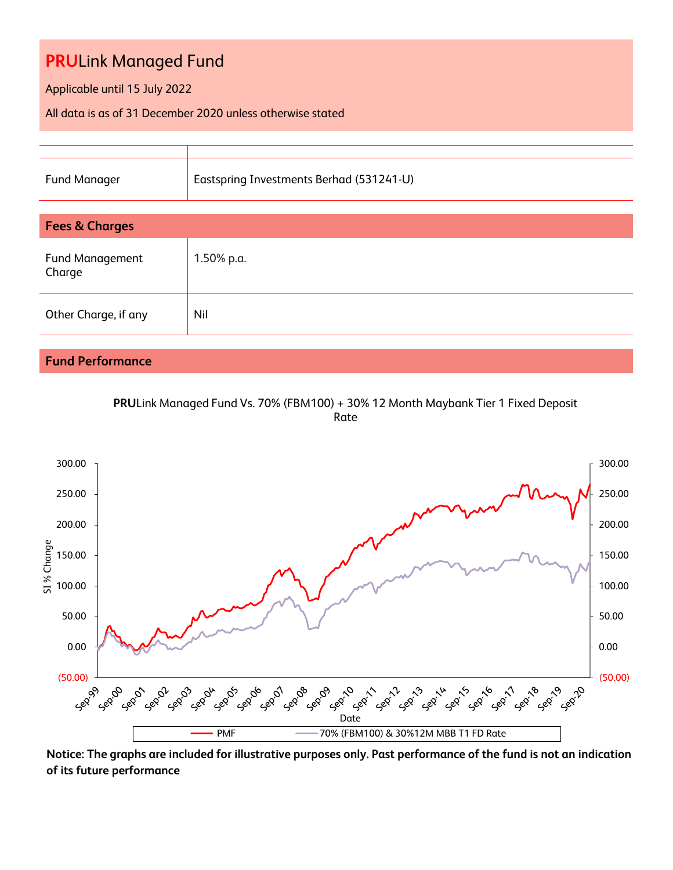Applicable until 15 July 2022

All data is as of 31 December 2020 unless otherwise stated

| <b>Fund Manager</b>              | Eastspring Investments Berhad (531241-U) |  |  |  |  |
|----------------------------------|------------------------------------------|--|--|--|--|
|                                  |                                          |  |  |  |  |
| <b>Fees &amp; Charges</b>        |                                          |  |  |  |  |
| <b>Fund Management</b><br>Charge | 1.50% p.a.                               |  |  |  |  |
| Other Charge, if any             | Nil                                      |  |  |  |  |
|                                  |                                          |  |  |  |  |
|                                  |                                          |  |  |  |  |

# **Fund Performance**

**PRU**Link Managed Fund Vs. 70% (FBM100) + 30% 12 Month Maybank Tier 1 Fixed Deposit Rate



**Notice: The graphs are included for illustrative purposes only. Past performance of the fund is not an indication of its future performance**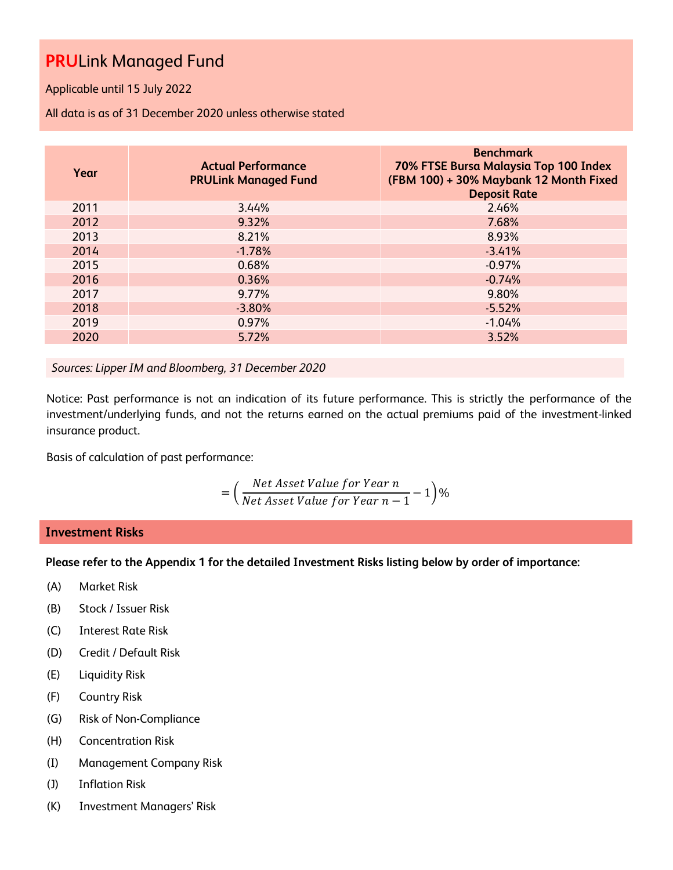Applicable until 15 July 2022

All data is as of 31 December 2020 unless otherwise stated

| Year | <b>Actual Performance</b><br><b>PRULink Managed Fund</b> | <b>Benchmark</b><br>70% FTSE Bursa Malaysia Top 100 Index<br>(FBM 100) + 30% Maybank 12 Month Fixed<br><b>Deposit Rate</b> |
|------|----------------------------------------------------------|----------------------------------------------------------------------------------------------------------------------------|
| 2011 | 3.44%                                                    | 2.46%                                                                                                                      |
| 2012 | 9.32%                                                    | 7.68%                                                                                                                      |
| 2013 | 8.21%                                                    | 8.93%                                                                                                                      |
| 2014 | $-1.78%$                                                 | $-3.41%$                                                                                                                   |
| 2015 | 0.68%                                                    | $-0.97%$                                                                                                                   |
| 2016 | 0.36%                                                    | $-0.74%$                                                                                                                   |
| 2017 | 9.77%                                                    | 9.80%                                                                                                                      |
| 2018 | $-3.80%$                                                 | $-5.52%$                                                                                                                   |
| 2019 | 0.97%                                                    | $-1.04%$                                                                                                                   |
| 2020 | 5.72%                                                    | 3.52%                                                                                                                      |

*Sources: Lipper IM and Bloomberg, 31 December 2020*

Notice: Past performance is not an indication of its future performance. This is strictly the performance of the investment/underlying funds, and not the returns earned on the actual premiums paid of the investment-linked insurance product.

Basis of calculation of past performance:

$$
= \left(\frac{Net\text{ Asset Value for Year }n}{Net\text{ Asset Value for Year }n-1}-1\right)\%
$$

# **Investment Risks**

**Please refer to the Appendix 1 for the detailed Investment Risks listing below by order of importance:**

- (A) Market Risk
- (B) Stock / Issuer Risk
- (C) Interest Rate Risk
- (D) Credit / Default Risk
- (E) Liquidity Risk
- (F) Country Risk
- (G) Risk of Non-Compliance
- (H) Concentration Risk
- (I) Management Company Risk
- (J) Inflation Risk
- (K) Investment Managers' Risk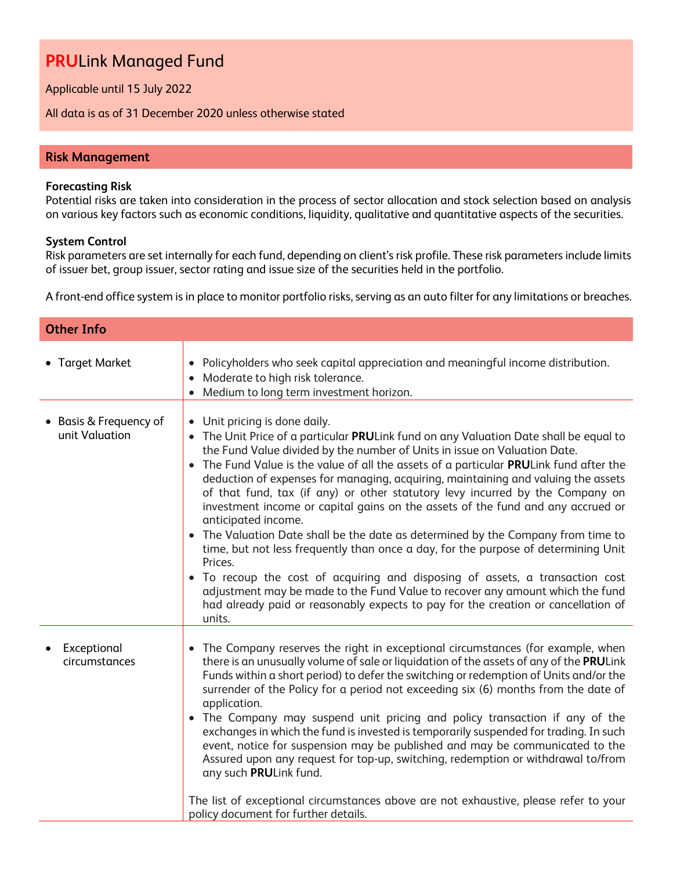Applicable until 15 July 2022

All data is as of 31 December 2020 unless otherwise stated

# **Risk Management**

#### **Forecasting Risk**

Potential risks are taken into consideration in the process of sector allocation and stock selection based on analysis on various key factors such as economic conditions, liquidity, qualitative and quantitative aspects of the securities.

### **System Control**

Risk parameters are set internally for each fund, depending on client's risk profile. These risk parameters include limits of issuer bet, group issuer, sector rating and issue size of the securities held in the portfolio.

A front-end office system is in place to monitor portfolio risks, serving as an auto filter for any limitations or breaches.

| <b>Other Info</b>                        |                                                                                                                                                                                                                                                                                                                                                                                                                                                                                                                                                                                                                                                                                                                                                                                                                                                                                                                                                                                                                                     |
|------------------------------------------|-------------------------------------------------------------------------------------------------------------------------------------------------------------------------------------------------------------------------------------------------------------------------------------------------------------------------------------------------------------------------------------------------------------------------------------------------------------------------------------------------------------------------------------------------------------------------------------------------------------------------------------------------------------------------------------------------------------------------------------------------------------------------------------------------------------------------------------------------------------------------------------------------------------------------------------------------------------------------------------------------------------------------------------|
| • Target Market                          | • Policyholders who seek capital appreciation and meaningful income distribution.<br>• Moderate to high risk tolerance.<br>• Medium to long term investment horizon.                                                                                                                                                                                                                                                                                                                                                                                                                                                                                                                                                                                                                                                                                                                                                                                                                                                                |
| • Basis & Frequency of<br>unit Valuation | • Unit pricing is done daily.<br>• The Unit Price of a particular PRULink fund on any Valuation Date shall be equal to<br>the Fund Value divided by the number of Units in issue on Valuation Date.<br>• The Fund Value is the value of all the assets of a particular PRULink fund after the<br>deduction of expenses for managing, acquiring, maintaining and valuing the assets<br>of that fund, tax (if any) or other statutory levy incurred by the Company on<br>investment income or capital gains on the assets of the fund and any accrued or<br>anticipated income.<br>• The Valuation Date shall be the date as determined by the Company from time to<br>time, but not less frequently than once a day, for the purpose of determining Unit<br>Prices.<br>• To recoup the cost of acquiring and disposing of assets, a transaction cost<br>adjustment may be made to the Fund Value to recover any amount which the fund<br>had already paid or reasonably expects to pay for the creation or cancellation of<br>units. |
| Exceptional<br>circumstances             | • The Company reserves the right in exceptional circumstances (for example, when<br>there is an unusually volume of sale or liquidation of the assets of any of the PRULink<br>Funds within a short period) to defer the switching or redemption of Units and/or the<br>surrender of the Policy for a period not exceeding six (6) months from the date of<br>application.<br>• The Company may suspend unit pricing and policy transaction if any of the<br>exchanges in which the fund is invested is temporarily suspended for trading. In such<br>event, notice for suspension may be published and may be communicated to the<br>Assured upon any request for top-up, switching, redemption or withdrawal to/from<br>any such PRULink fund.<br>The list of exceptional circumstances above are not exhaustive, please refer to your<br>policy document for further details.                                                                                                                                                    |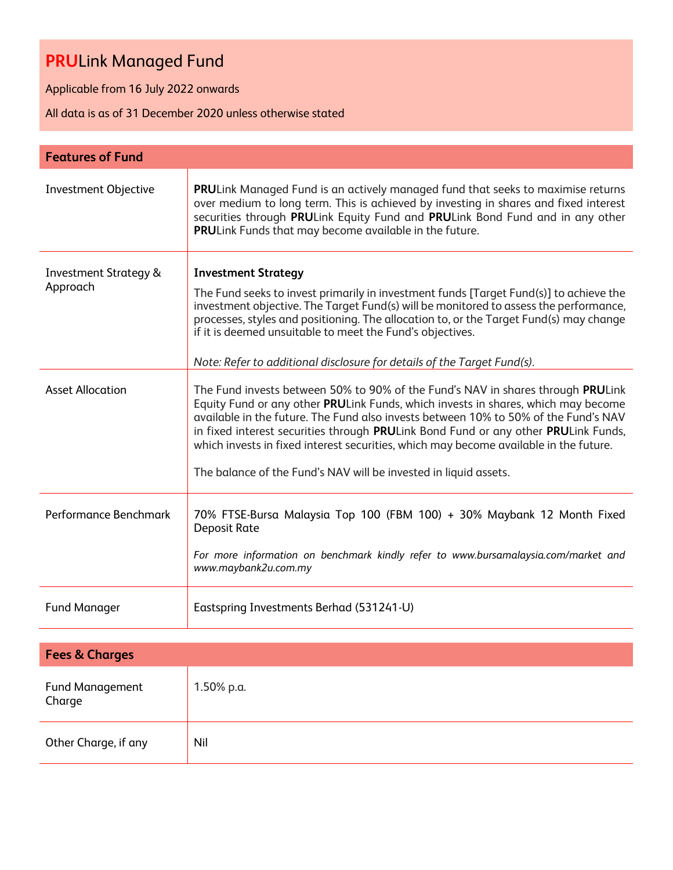Applicable from 16 July 2022 onwards

All data is as of 31 December 2020 unless otherwise stated

| <b>Features of Fund</b>                      |                                                                                                                                                                                                                                                                                                                                                                                                                                                                                                                |
|----------------------------------------------|----------------------------------------------------------------------------------------------------------------------------------------------------------------------------------------------------------------------------------------------------------------------------------------------------------------------------------------------------------------------------------------------------------------------------------------------------------------------------------------------------------------|
| Investment Objective                         | PRULink Managed Fund is an actively managed fund that seeks to maximise returns<br>over medium to long term. This is achieved by investing in shares and fixed interest<br>securities through PRULink Equity Fund and PRULink Bond Fund and in any other<br>PRULink Funds that may become available in the future.                                                                                                                                                                                             |
| <b>Investment Strategy &amp;</b><br>Approach | <b>Investment Strategy</b><br>The Fund seeks to invest primarily in investment funds [Target Fund(s)] to achieve the<br>investment objective. The Target Fund(s) will be monitored to assess the performance,<br>processes, styles and positioning. The allocation to, or the Target Fund(s) may change<br>if it is deemed unsuitable to meet the Fund's objectives.<br>Note: Refer to additional disclosure for details of the Target Fund(s).                                                                |
| <b>Asset Allocation</b>                      | The Fund invests between 50% to 90% of the Fund's NAV in shares through PRULink<br>Equity Fund or any other PRULink Funds, which invests in shares, which may become<br>available in the future. The Fund also invests between 10% to 50% of the Fund's NAV<br>in fixed interest securities through PRULink Bond Fund or any other PRULink Funds,<br>which invests in fixed interest securities, which may become available in the future.<br>The balance of the Fund's NAV will be invested in liquid assets. |
| Performance Benchmark                        | 70% FTSE-Bursa Malaysia Top 100 (FBM 100) + 30% Maybank 12 Month Fixed<br><b>Deposit Rate</b><br>For more information on benchmark kindly refer to www.bursamalaysia.com/market and<br>www.maybank2u.com.my                                                                                                                                                                                                                                                                                                    |
| <b>Fund Manager</b>                          | Eastspring Investments Berhad (531241-U)                                                                                                                                                                                                                                                                                                                                                                                                                                                                       |
| <b>Fees &amp; Charges</b>                    |                                                                                                                                                                                                                                                                                                                                                                                                                                                                                                                |
| <b>Fund Management</b><br>Charge             | 1.50% p.a.                                                                                                                                                                                                                                                                                                                                                                                                                                                                                                     |
| Other Charge, if any                         | Nil                                                                                                                                                                                                                                                                                                                                                                                                                                                                                                            |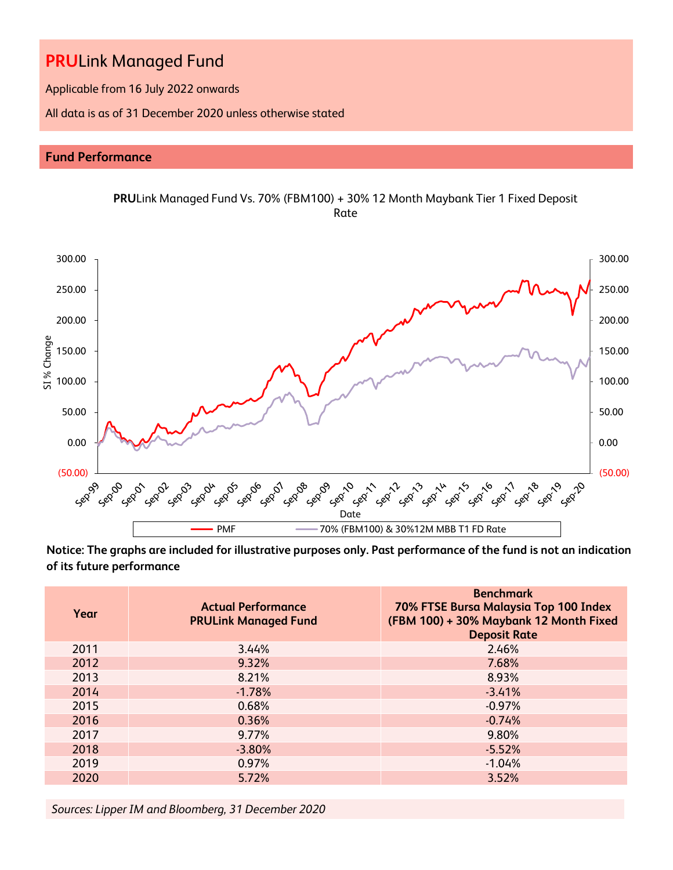Applicable from 16 July 2022 onwards

All data is as of 31 December 2020 unless otherwise stated

# **Fund Performance**





**Notice: The graphs are included for illustrative purposes only. Past performance of the fund is not an indication of its future performance**

| Year | <b>Actual Performance</b><br><b>PRULink Managed Fund</b> | <b>Benchmark</b><br>70% FTSE Bursa Malaysia Top 100 Index<br>(FBM 100) + 30% Maybank 12 Month Fixed<br><b>Deposit Rate</b> |
|------|----------------------------------------------------------|----------------------------------------------------------------------------------------------------------------------------|
| 2011 | 3.44%                                                    | 2.46%                                                                                                                      |
| 2012 | 9.32%                                                    | 7.68%                                                                                                                      |
| 2013 | 8.21%                                                    | 8.93%                                                                                                                      |
| 2014 | $-1.78%$                                                 | $-3.41%$                                                                                                                   |
| 2015 | 0.68%                                                    | $-0.97%$                                                                                                                   |
| 2016 | 0.36%                                                    | $-0.74%$                                                                                                                   |
| 2017 | 9.77%                                                    | 9.80%                                                                                                                      |
| 2018 | $-3.80%$                                                 | $-5.52%$                                                                                                                   |
| 2019 | 0.97%                                                    | $-1.04%$                                                                                                                   |
| 2020 | 5.72%                                                    | 3.52%                                                                                                                      |

*Sources: Lipper IM and Bloomberg, 31 December 2020*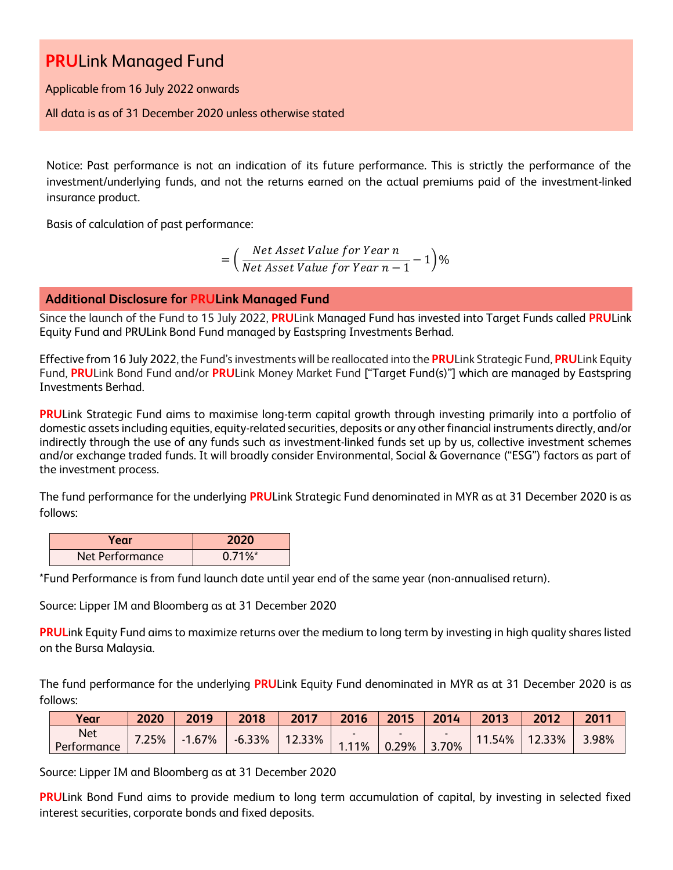Applicable from 16 July 2022 onwards

All data is as of 31 December 2020 unless otherwise stated

Notice: Past performance is not an indication of its future performance. This is strictly the performance of the investment/underlying funds, and not the returns earned on the actual premiums paid of the investment-linked insurance product.

Basis of calculation of past performance:

$$
= \left(\frac{Net\ Asset\ Value\ for\ Year\ n}{Net\ Asset\ Value\ for\ Year\ n-1} - 1\right)\%
$$

# **Additional Disclosure for PRULink Managed Fund**

Since the launch of the Fund to 15 July 2022, **PRU**Link Managed Fund has invested into Target Funds called **PRU**Link Equity Fund and PRULink Bond Fund managed by Eastspring Investments Berhad.

Effective from 16 July 2022, the Fund's investments will be reallocated into the **PRU**Link Strategic Fund, **PRU**Link Equity Fund, **PRU**Link Bond Fund and/or **PRU**Link Money Market Fund ["Target Fund(s)"] which are managed by Eastspring Investments Berhad.

**PRU**Link Strategic Fund aims to maximise long-term capital growth through investing primarily into a portfolio of domestic assets including equities, equity-related securities, deposits or any other financial instruments directly, and/or indirectly through the use of any funds such as investment-linked funds set up by us, collective investment schemes and/or exchange traded funds. It will broadly consider Environmental, Social & Governance ("ESG") factors as part of the investment process.

The fund performance for the underlying **PRU**Link Strategic Fund denominated in MYR as at 31 December 2020 is as follows:

| Year            | 2020                  |
|-----------------|-----------------------|
| Net Performance | $0.71\%$ <sup>*</sup> |

\*Fund Performance is from fund launch date until year end of the same year (non-annualised return).

Source: Lipper IM and Bloomberg as at 31 December 2020

**PRUL**ink Equity Fund aims to maximize returns over the medium to long term by investing in high quality shares listed on the Bursa Malaysia.

The fund performance for the underlying **PRU**Link Equity Fund denominated in MYR as at 31 December 2020 is as follows:

| Year                      | 2020 | 2019                    | 2018     | 2017      | 2016 | 2015  | 2014       | 2013   | 2012   | 2011  |
|---------------------------|------|-------------------------|----------|-----------|------|-------|------------|--------|--------|-------|
| <b>Net</b><br>Performance | 25%  | 1.67%<br>$\blacksquare$ | $-6.33%$ | $12.33\%$ | .11% | 0.29% | 3.70%<br>∍ | 11.54% | 12.33% | 3.98% |

Source: Lipper IM and Bloomberg as at 31 December 2020

**PRU**Link Bond Fund aims to provide medium to long term accumulation of capital, by investing in selected fixed interest securities, corporate bonds and fixed deposits.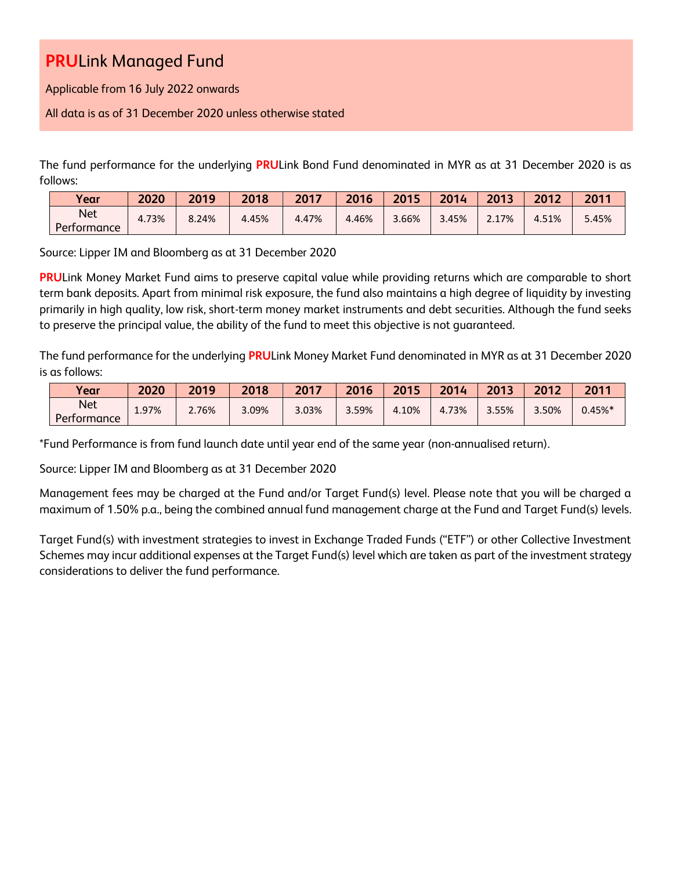Applicable from 16 July 2022 onwards

All data is as of 31 December 2020 unless otherwise stated

The fund performance for the underlying **PRU**Link Bond Fund denominated in MYR as at 31 December 2020 is as follows:

| Vear                      | 2020  | 2019  | 2018  | 2017  | 2016  | 2015  | 2014  | 2013  | 2012  | 2011  |
|---------------------------|-------|-------|-------|-------|-------|-------|-------|-------|-------|-------|
| <b>Net</b><br>Performance | 4.73% | 8.24% | 4.45% | 4.47% | 4.46% | 3.66% | 3.45% | 2.17% | 4.51% | 5.45% |

Source: Lipper IM and Bloomberg as at 31 December 2020

**PRU**Link Money Market Fund aims to preserve capital value while providing returns which are comparable to short term bank deposits. Apart from minimal risk exposure, the fund also maintains a high degree of liquidity by investing primarily in high quality, low risk, short-term money market instruments and debt securities. Although the fund seeks to preserve the principal value, the ability of the fund to meet this objective is not guaranteed.

The fund performance for the underlying **PRU**Link Money Market Fund denominated in MYR as at 31 December 2020 is as follows:

| Year                      | 2020  | 2019  | 2018  | 2017  | 2016  | 2015  | 2014  | 2013  | 2012  | 2011          |
|---------------------------|-------|-------|-------|-------|-------|-------|-------|-------|-------|---------------|
| <b>Net</b><br>Performance | 1.97% | 2.76% | 3.09% | 3.03% | 3.59% | 4.10% | 4.73% | 3.55% | 3.50% | $0.45\%$ $^*$ |

\*Fund Performance is from fund launch date until year end of the same year (non-annualised return).

Source: Lipper IM and Bloomberg as at 31 December 2020

Management fees may be charged at the Fund and/or Target Fund(s) level. Please note that you will be charged a maximum of 1.50% p.a., being the combined annual fund management charge at the Fund and Target Fund(s) levels.

Target Fund(s) with investment strategies to invest in Exchange Traded Funds ("ETF") or other Collective Investment Schemes may incur additional expenses at the Target Fund(s) level which are taken as part of the investment strategy considerations to deliver the fund performance.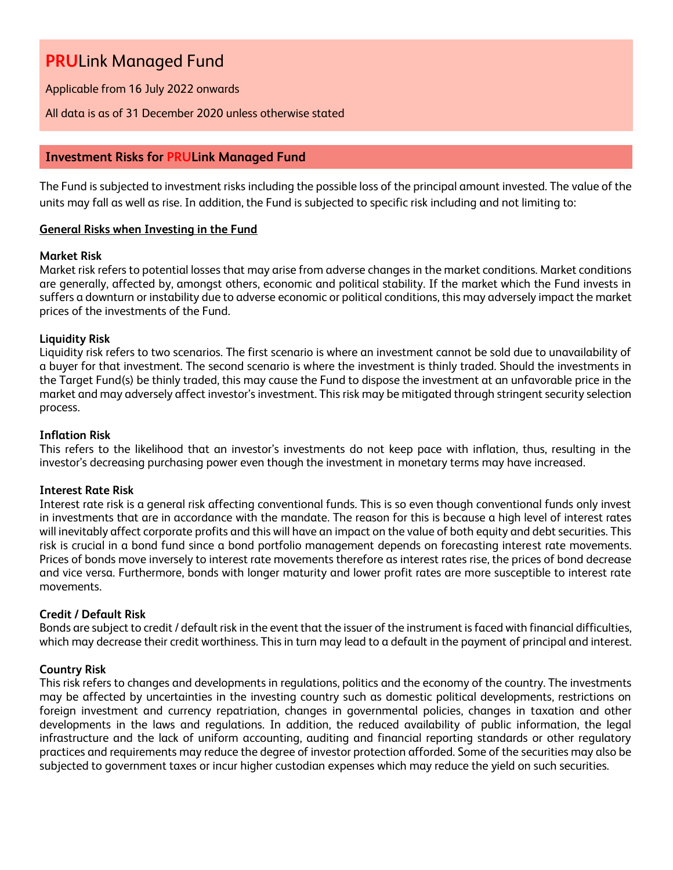Applicable from 16 July 2022 onwards

## All data is as of 31 December 2020 unless otherwise stated

# **Investment Risks for PRULink Managed Fund**

The Fund is subjected to investment risks including the possible loss of the principal amount invested. The value of the units may fall as well as rise. In addition, the Fund is subjected to specific risk including and not limiting to:

## **General Risks when Investing in the Fund**

## **Market Risk**

Market risk refers to potential losses that may arise from adverse changes in the market conditions. Market conditions are generally, affected by, amongst others, economic and political stability. If the market which the Fund invests in suffers a downturn or instability due to adverse economic or political conditions, this may adversely impact the market prices of the investments of the Fund.

## **Liquidity Risk**

Liquidity risk refers to two scenarios. The first scenario is where an investment cannot be sold due to unavailability of a buyer for that investment. The second scenario is where the investment is thinly traded. Should the investments in the Target Fund(s) be thinly traded, this may cause the Fund to dispose the investment at an unfavorable price in the market and may adversely affect investor's investment. This risk may be mitigated through stringent security selection process.

### **Inflation Risk**

This refers to the likelihood that an investor's investments do not keep pace with inflation, thus, resulting in the investor's decreasing purchasing power even though the investment in monetary terms may have increased.

### **Interest Rate Risk**

Interest rate risk is a general risk affecting conventional funds. This is so even though conventional funds only invest in investments that are in accordance with the mandate. The reason for this is because a high level of interest rates will inevitably affect corporate profits and this will have an impact on the value of both equity and debt securities. This risk is crucial in a bond fund since a bond portfolio management depends on forecasting interest rate movements. Prices of bonds move inversely to interest rate movements therefore as interest rates rise, the prices of bond decrease and vice versa. Furthermore, bonds with longer maturity and lower profit rates are more susceptible to interest rate movements.

### **Credit / Default Risk**

Bonds are subject to credit / default risk in the event that the issuer of the instrument is faced with financial difficulties, which may decrease their credit worthiness. This in turn may lead to a default in the payment of principal and interest.

# **Country Risk**

This risk refers to changes and developments in regulations, politics and the economy of the country. The investments may be affected by uncertainties in the investing country such as domestic political developments, restrictions on foreign investment and currency repatriation, changes in governmental policies, changes in taxation and other developments in the laws and regulations. In addition, the reduced availability of public information, the legal infrastructure and the lack of uniform accounting, auditing and financial reporting standards or other regulatory practices and requirements may reduce the degree of investor protection afforded. Some of the securities may also be subjected to government taxes or incur higher custodian expenses which may reduce the yield on such securities.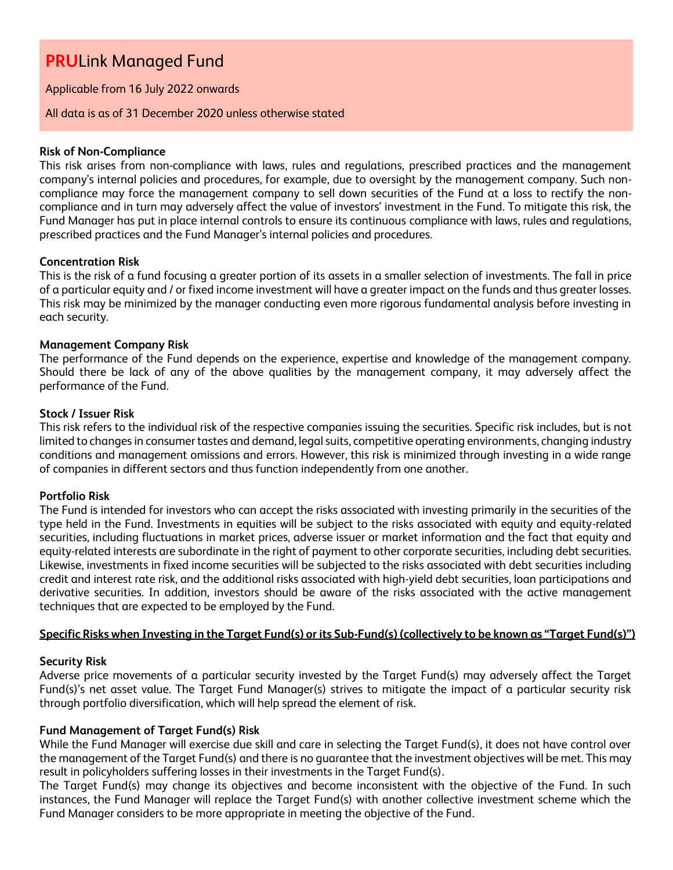Applicable from 16 July 2022 onwards

### All data is as of 31 December 2020 unless otherwise stated

## **Risk of Non-Compliance**

This risk arises from non-compliance with laws, rules and regulations, prescribed practices and the management company's internal policies and procedures, for example, due to oversight by the management company. Such noncompliance may force the management company to sell down securities of the Fund at a loss to rectify the noncompliance and in turn may adversely affect the value of investors' investment in the Fund. To mitigate this risk, the Fund Manager has put in place internal controls to ensure its continuous compliance with laws, rules and regulations, prescribed practices and the Fund Manager's internal policies and procedures.

## **Concentration Risk**

This is the risk of a fund focusing a greater portion of its assets in a smaller selection of investments. The fall in price of a particular equity and / or fixed income investment will have a greater impact on the funds and thus greater losses. This risk may be minimized by the manager conducting even more rigorous fundamental analysis before investing in each security.

## **Management Company Risk**

The performance of the Fund depends on the experience, expertise and knowledge of the management company. Should there be lack of any of the above qualities by the management company, it may adversely affect the performance of the Fund.

### **Stock / Issuer Risk**

This risk refers to the individual risk of the respective companies issuing the securities. Specific risk includes, but is not limited to changes in consumer tastes and demand, legal suits, competitive operating environments, changing industry conditions and management omissions and errors. However, this risk is minimized through investing in a wide range of companies in different sectors and thus function independently from one another.

### **Portfolio Risk**

The Fund is intended for investors who can accept the risks associated with investing primarily in the securities of the type held in the Fund. Investments in equities will be subject to the risks associated with equity and equity-related securities, including fluctuations in market prices, adverse issuer or market information and the fact that equity and equity-related interests are subordinate in the right of payment to other corporate securities, including debt securities. Likewise, investments in fixed income securities will be subjected to the risks associated with debt securities including credit and interest rate risk, and the additional risks associated with high-yield debt securities, loan participations and derivative securities. In addition, investors should be aware of the risks associated with the active management techniques that are expected to be employed by the Fund.

# **Specific Risks when Investing in the Target Fund(s) or its Sub-Fund(s) (collectively to be known as "Target Fund(s)")**

# **Security Risk**

Adverse price movements of a particular security invested by the Target Fund(s) may adversely affect the Target Fund(s)'s net asset value. The Target Fund Manager(s) strives to mitigate the impact of a particular security risk through portfolio diversification, which will help spread the element of risk.

### **Fund Management of Target Fund(s) Risk**

While the Fund Manager will exercise due skill and care in selecting the Target Fund(s), it does not have control over the management of the Target Fund(s) and there is no guarantee that the investment objectives will be met. This may result in policyholders suffering losses in their investments in the Target Fund(s).

The Target Fund(s) may change its objectives and become inconsistent with the objective of the Fund. In such instances, the Fund Manager will replace the Target Fund(s) with another collective investment scheme which the Fund Manager considers to be more appropriate in meeting the objective of the Fund.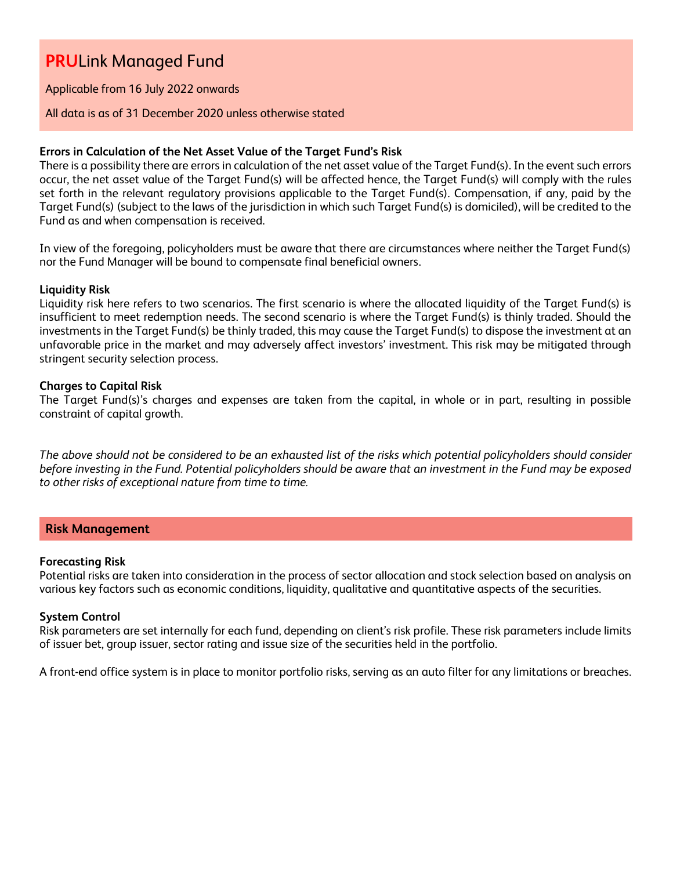### Applicable from 16 July 2022 onwards

### All data is as of 31 December 2020 unless otherwise stated

### **Errors in Calculation of the Net Asset Value of the Target Fund's Risk**

There is a possibility there are errors in calculation of the net asset value of the Target Fund(s). In the event such errors occur, the net asset value of the Target Fund(s) will be affected hence, the Target Fund(s) will comply with the rules set forth in the relevant regulatory provisions applicable to the Target Fund(s). Compensation, if any, paid by the Target Fund(s) (subject to the laws of the jurisdiction in which such Target Fund(s) is domiciled), will be credited to the Fund as and when compensation is received.

In view of the foregoing, policyholders must be aware that there are circumstances where neither the Target Fund(s) nor the Fund Manager will be bound to compensate final beneficial owners.

### **Liquidity Risk**

Liquidity risk here refers to two scenarios. The first scenario is where the allocated liquidity of the Target Fund(s) is insufficient to meet redemption needs. The second scenario is where the Target Fund(s) is thinly traded. Should the investments in the Target Fund(s) be thinly traded, this may cause the Target Fund(s) to dispose the investment at an unfavorable price in the market and may adversely affect investors' investment. This risk may be mitigated through stringent security selection process.

### **Charges to Capital Risk**

The Target Fund(s)'s charges and expenses are taken from the capital, in whole or in part, resulting in possible constraint of capital growth.

*The above should not be considered to be an exhausted list of the risks which potential policyholders should consider before investing in the Fund. Potential policyholders should be aware that an investment in the Fund may be exposed to other risks of exceptional nature from time to time.*

# **Risk Management**

#### **Forecasting Risk**

Potential risks are taken into consideration in the process of sector allocation and stock selection based on analysis on various key factors such as economic conditions, liquidity, qualitative and quantitative aspects of the securities.

### **System Control**

Risk parameters are set internally for each fund, depending on client's risk profile. These risk parameters include limits of issuer bet, group issuer, sector rating and issue size of the securities held in the portfolio.

A front-end office system is in place to monitor portfolio risks, serving as an auto filter for any limitations or breaches.